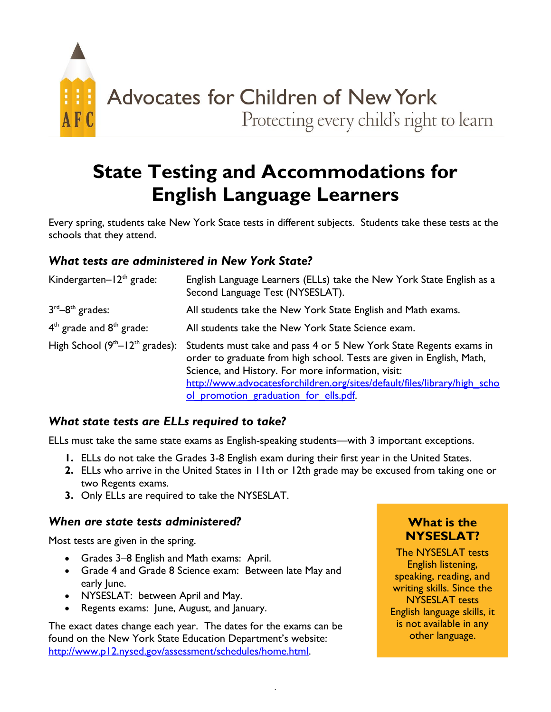

# **State Testing and Accommodations for English Language Learners**

Every spring, students take New York State tests in different subjects. Students take these tests at the schools that they attend.

### *What tests are administered in New York State?*

| Kindergarten- $12th$ grade:      | English Language Learners (ELLs) take the New York State English as a<br>Second Language Test (NYSESLAT).                                   |
|----------------------------------|---------------------------------------------------------------------------------------------------------------------------------------------|
| $3rd-8th$ grades:                | All students take the New York State English and Math exams.                                                                                |
| $4th$ grade and $8th$ grade:     | All students take the New York State Science exam.                                                                                          |
| High School $(9th-12th$ grades): | Students must take and pass 4 or 5 New York State Regents exams in<br>order to graduate from high school. Tests are given in English, Math, |
|                                  | Science, and History. For more information, visit:                                                                                          |
|                                  | http://www.advocatesforchildren.org/sites/default/files/library/high_scho                                                                   |
|                                  | ol promotion graduation for ells.pdf.                                                                                                       |

#### *What state tests are ELLs required to take?*

ELLs must take the same state exams as English-speaking students—with 3 important exceptions.

- **1.** ELLs do not take the Grades 3-8 English exam during their first year in the United States.
- **2.** ELLs who arrive in the United States in 11th or 12th grade may be excused from taking one or two Regents exams.
- **3.** Only ELLs are required to take the NYSESLAT.

#### *When are state tests administered?*

Most tests are given in the spring.

- Grades 3–8 English and Math exams: April.
- Grade 4 and Grade 8 Science exam: Between late May and early June.
- NYSESLAT: between April and May.
- Regents exams: June, August, and January.

The exact dates change each year. The dates for the exams can be found on the New York State Education Department's website: [http://www.p12.nysed.gov/assessment/schedules/home.html.](http://www.p12.nysed.gov/assessment/schedules/home.html)

### **What is the NYSESLAT?**

The NYSESLAT tests English listening, speaking, reading, and writing skills. Since the NYSESLAT tests English language skills, it is not available in any other language.